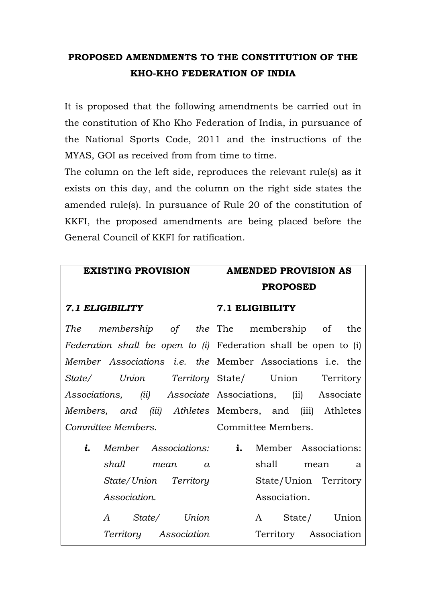## **PROPOSED AMENDMENTS TO THE CONSTITUTION OF THE KHO-KHO FEDERATION OF INDIA**

It is proposed that the following amendments be carried out in the constitution of Kho Kho Federation of India, in pursuance of the National Sports Code, 2011 and the instructions of the MYAS, GOI as received from from time to time.

The column on the left side, reproduces the relevant rule(s) as it exists on this day, and the column on the right side states the amended rule(s). In pursuance of Rule 20 of the constitution of KKFI, the proposed amendments are being placed before the General Council of KKFI for ratification.

| <b>EXISTING PROVISION</b>                                               | <b>AMENDED PROVISION AS</b>                   |
|-------------------------------------------------------------------------|-----------------------------------------------|
|                                                                         | <b>PROPOSED</b>                               |
| 7.1 ELIGIBILITY                                                         | 7.1 ELIGIBILITY                               |
| The membership of the The membership of the                             |                                               |
| <i>Federation shall be open to (i)</i> Federation shall be open to (i)  |                                               |
| Member Associations <i>i.e.</i> the Member Associations <i>i.e.</i> the |                                               |
|                                                                         | State/ Union Territory State/ Union Territory |
| Associations, (ii) Associate Associations, (ii) Associate               |                                               |
| Members, and (iii) Athletes Members, and (iii) Athletes                 |                                               |
| Committee Members.                                                      | Committee Members.                            |
| <i>i.</i> Member Associations:                                          | <b>i.</b> Member Associations:                |
| shall mean a                                                            | shall mean a                                  |
| State/Union Territory                                                   | State/Union Territory                         |
| Association.                                                            | Association.                                  |
| A State/ Union                                                          | A State/ Union                                |
| <i>Territory</i> Association                                            | Territory Association                         |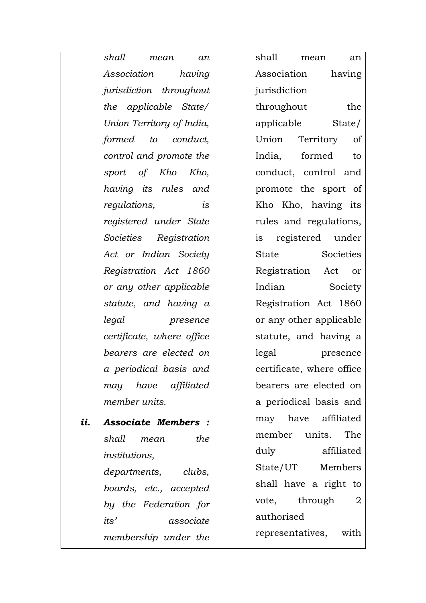|     | shall<br>mean<br>an            | shall<br>mean<br>an       |
|-----|--------------------------------|---------------------------|
|     | Association<br>having          | having<br>Association     |
|     | <i>jurisdiction</i> throughout | jurisdiction              |
|     | the applicable State/          | throughout<br>the         |
|     | Union Territory of India,      | applicable<br>State/      |
|     | formed to<br>conduct,          | Union Territory<br>of     |
|     | control and promote the        | India, formed<br>to       |
|     | sport of Kho Kho,              | conduct, control and      |
|     | having its rules and           | promote the sport of      |
|     | regulations,<br>is             | Kho Kho, having its       |
|     | registered under State         | rules and regulations,    |
|     | Societies Registration         | is registered under       |
|     | Act or Indian Society          | Societies<br>State        |
|     | Registration Act 1860          | Registration Act<br>or    |
|     | or any other applicable        | Indian<br>Society         |
|     | statute, and having a          | Registration Act 1860     |
|     | legal<br>presence              | or any other applicable   |
|     | certificate, where office      | statute, and having a     |
|     | bearers are elected on         | legal<br>presence         |
|     | a periodical basis and         | certificate, where office |
|     | may have affiliated            | bearers are elected on    |
|     | member units.                  | a periodical basis and    |
| ii. | <b>Associate Members:</b>      | may have affiliated       |
|     | shall<br>the<br>mean           | member units. The         |
|     | <i>institutions,</i>           | duly<br>affiliated        |
|     | departments, clubs,            | State/UT Members          |
|     | boards, etc., accepted         | shall have a right to     |
|     | by the Federation for          | vote, through 2           |
|     | its'<br>associate              | authorised                |
|     | membership under the           | representatives, with     |

*membership under the*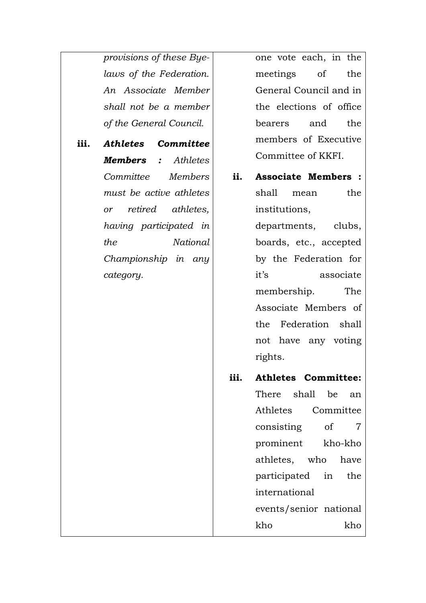*provisions of these Byelaws of the Federation. An Associate Member shall not be a member of the General Council.*

**iii.** *Athletes Committee Members : Athletes Committee Members must be active athletes or retired athletes, having participated in the National Championship in any category.*

one vote each, in the meetings of the General Council and in the elections of office bearers and the members of Executive Committee of KKFI.

- **ii. Associate Members :**  shall mean the institutions, departments, clubs, boards, etc., accepted by the Federation for it's associate membership. The Associate Members of the Federation shall not have any voting rights.
- **iii. Athletes Committee:**  There shall be an Athletes Committee consisting of 7 prominent kho-kho athletes, who have participated in the international events/senior national kho kho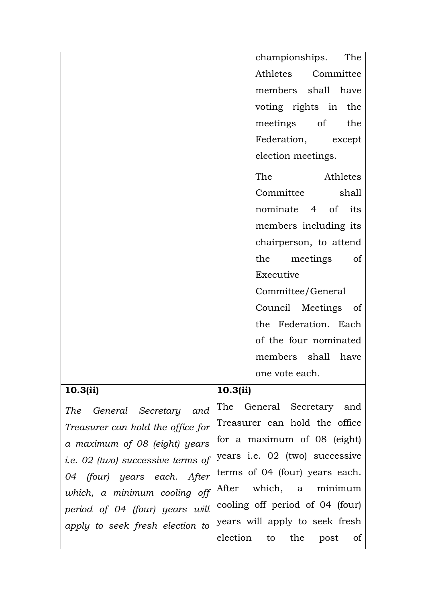|                                          | championships.<br>The                       |
|------------------------------------------|---------------------------------------------|
|                                          | Athletes Committee                          |
|                                          | members shall have                          |
|                                          | voting rights in the                        |
|                                          | meetings of<br>the                          |
|                                          | Federation, except                          |
|                                          | election meetings.                          |
|                                          | The<br>Athletes                             |
|                                          | Committee<br>shall                          |
|                                          | nominate 4 of its                           |
|                                          | members including its                       |
|                                          | chairperson, to attend                      |
|                                          | the<br>meetings<br>of                       |
|                                          | Executive                                   |
|                                          | Committee/General                           |
|                                          | Council Meetings of                         |
|                                          | the Federation. Each                        |
|                                          | of the four nominated                       |
|                                          | members shall have                          |
|                                          | one vote each.                              |
| 10.3(ii)                                 | 10.3(ii)                                    |
| General Secretary and<br>The             | The General Secretary and                   |
| Treasurer can hold the office for        | Treasurer can hold the office               |
| a maximum of 08 (eight) years            | for a maximum of 08 (eight)                 |
| <i>i.e.</i> 02 (two) successive terms of | years i.e. 02 (two) successive              |
| (four) years each. After<br>04           | terms of 04 (four) years each.              |
| which, a minimum cooling off             | which, a minimum<br>After                   |
| period of 04 (four) years will           | cooling off period of 04 (four)             |
| apply to seek fresh election to          | years will apply to seek fresh              |
|                                          | election to<br>the<br>post<br><sub>of</sub> |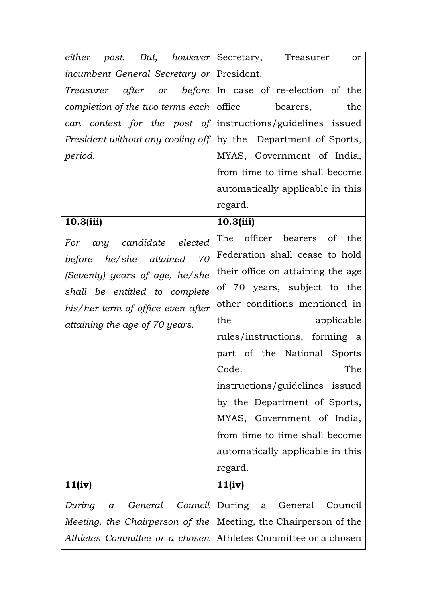| either post. But, however Secretary, Treasurer                        | or                                                      |
|-----------------------------------------------------------------------|---------------------------------------------------------|
| <i>incumbent General Secretary or</i> President.                      |                                                         |
|                                                                       | Treasurer after or before In case of re-election of the |
| completion of the two terms each $ $ office                           | the<br>bearers,                                         |
| can                                                                   | contest for the post of instructions/guidelines issued  |
| <i>President without any cooling off</i> by the Department of Sports, |                                                         |
| period.                                                               | MYAS, Government of India,                              |
|                                                                       | from time to time shall become                          |
|                                                                       | automatically applicable in this                        |
|                                                                       | regard.                                                 |
| 10.3(iii)                                                             | 10.3(iii)                                               |
| any candidate<br>elected<br>For                                       | The officer bearers of the                              |
| before he/she attained 70                                             | Federation shall cease to hold                          |
| (Seventy) years of age, he/she                                        | their office on attaining the age.                      |
| shall be entitled to complete                                         | of 70 years, subject to the                             |
| his/her term of office even after                                     | other conditions mentioned in                           |
| attaining the age of 70 years.                                        | the<br>applicable                                       |
|                                                                       | rules/instructions, forming a                           |
|                                                                       | part of the National Sports                             |
|                                                                       | Code.<br>The                                            |
|                                                                       | instructions/guidelines issued                          |
|                                                                       | by the Department of Sports,                            |
|                                                                       | MYAS, Government of India,                              |
|                                                                       | from time to time shall become                          |
|                                                                       | automatically applicable in this                        |
|                                                                       | regard.                                                 |
| 11(iv)                                                                | 11(iv)                                                  |
| During<br>General<br>Council<br>$\alpha$                              | During a<br>General<br>Council                          |
|                                                                       |                                                         |
| Meeting, the Chairperson of the                                       | Meeting, the Chairperson of the                         |